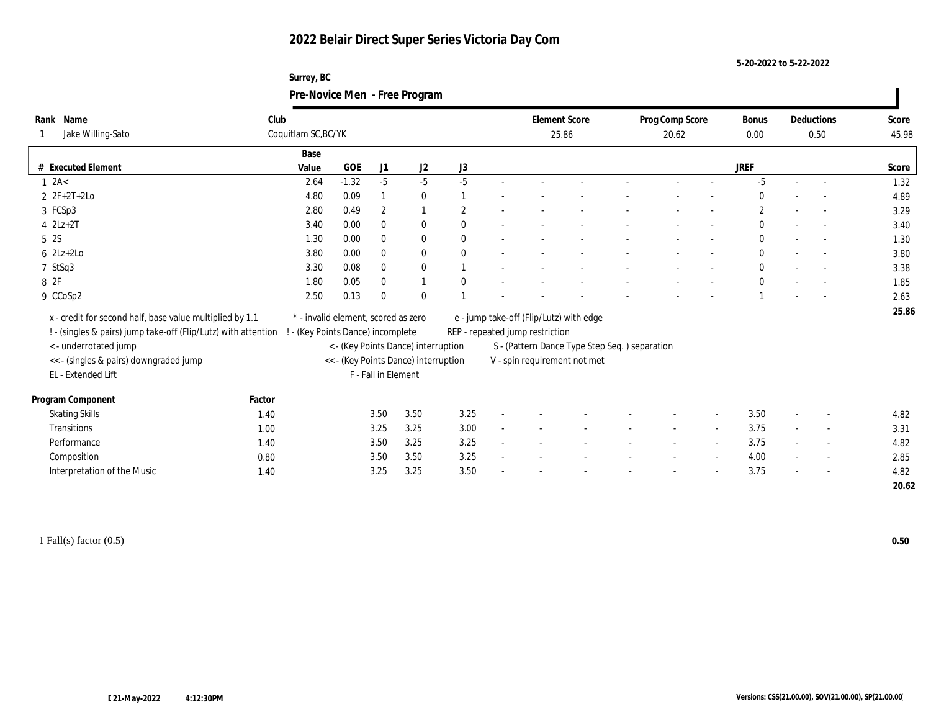#### **Surrey, BC Pre-Novice Men - Free Program**

|                                                                |        |                                     |            |                     | $\check{ }$                          |              |                                         |                                               |                 |                          |                |                          |       |
|----------------------------------------------------------------|--------|-------------------------------------|------------|---------------------|--------------------------------------|--------------|-----------------------------------------|-----------------------------------------------|-----------------|--------------------------|----------------|--------------------------|-------|
| Name<br>Rank                                                   | Club   |                                     |            |                     |                                      |              | <b>Element Score</b>                    |                                               | Prog Comp Score |                          | Bonus          | Deductions               | Score |
| Jake Willing-Sato                                              |        | Coquitlam SC, BC/YK                 |            |                     |                                      |              |                                         | 25.86                                         | 20.62           |                          | 0.00           | 0.50                     | 45.98 |
|                                                                |        | Base                                |            |                     |                                      |              |                                         |                                               |                 |                          |                |                          |       |
| # Executed Element                                             |        | Value                               | <b>GOE</b> | J <sub>1</sub>      | J <sub>2</sub>                       | J3           |                                         |                                               |                 |                          | <b>JREF</b>    |                          | Score |
| 1 2A<                                                          |        | 2.64                                | $-1.32$    | $-5$                | $-5$                                 | $-5$         |                                         |                                               |                 |                          | $-5$           | $\sim$                   | 1.32  |
| $2 \t2F+2T+2Lo$                                                |        | 4.80                                | 0.09       |                     | $\bf{0}$                             |              |                                         |                                               |                 |                          | $\Omega$       |                          | 4.89  |
| 3 FCSp3                                                        |        | 2.80                                | 0.49       | $\overline{2}$      | 1                                    | $\mathbf{2}$ |                                         |                                               |                 |                          | $\overline{c}$ |                          | 3.29  |
| $4$ $2Lz+2T$                                                   |        | 3.40                                | 0.00       | $\bf{0}$            | $\bf{0}$                             | $\mathbf{0}$ |                                         |                                               |                 |                          | $\bf{0}$       |                          | 3.40  |
| 5 2S                                                           |        | 1.30                                | 0.00       | $\mathbf{0}$        | $\bf{0}$                             | $\mathbf{0}$ |                                         |                                               |                 |                          | $\mathbf{0}$   | $\overline{\phantom{a}}$ | 1.30  |
| $6$ $2Lz+2Lo$                                                  |        | 3.80                                | 0.00       | $\mathbf{0}$        | $\bf{0}$                             | $\mathbf{0}$ |                                         |                                               |                 |                          | $\mathbf{0}$   |                          | 3.80  |
| 7 StSq3                                                        |        | 3.30                                | 0.08       | $\mathbf{0}$        | $\bf{0}$                             |              |                                         |                                               |                 |                          | $\mathbf{0}$   | $\overline{a}$           | 3.38  |
| 8 2F                                                           |        | 1.80                                | 0.05       | $\bf{0}$            | $\mathbf{1}$                         | $\theta$     |                                         |                                               |                 |                          | $\bf{0}$       | $\overline{a}$           | 1.85  |
| 9 CCoSp2                                                       |        | 2.50                                | 0.13       | $\bf{0}$            | $\bf{0}$                             |              |                                         |                                               |                 |                          |                |                          | 2.63  |
| x - credit for second half, base value multiplied by 1.1       |        | * - invalid element, scored as zero |            |                     |                                      |              | e - jump take-off (Flip/Lutz) with edge |                                               |                 |                          |                |                          | 25.86 |
| ! - (singles & pairs) jump take-off (Flip/Lutz) with attention |        | ! - (Key Points Dance) incomplete   |            |                     |                                      |              | REP - repeated jump restriction         |                                               |                 |                          |                |                          |       |
| < - underrotated jump                                          |        |                                     |            |                     | < - (Key Points Dance) interruption  |              |                                         | S - (Pattern Dance Type Step Seq.) separation |                 |                          |                |                          |       |
| << - (singles & pairs) downgraded jump                         |        |                                     |            |                     | << - (Key Points Dance) interruption |              |                                         | V - spin requirement not met                  |                 |                          |                |                          |       |
| EL - Extended Lift                                             |        |                                     |            | F - Fall in Element |                                      |              |                                         |                                               |                 |                          |                |                          |       |
|                                                                |        |                                     |            |                     |                                      |              |                                         |                                               |                 |                          |                |                          |       |
| Program Component                                              | Factor |                                     |            |                     |                                      |              |                                         |                                               |                 |                          |                |                          |       |
| <b>Skating Skills</b>                                          | 1.40   |                                     |            | 3.50                | 3.50                                 | 3.25         |                                         |                                               |                 | $\overline{\phantom{a}}$ | 3.50           | $\overline{\phantom{a}}$ | 4.82  |
| Transitions                                                    | 1.00   |                                     |            | 3.25                | 3.25                                 | 3.00         |                                         |                                               |                 |                          | 3.75           | $\overline{\phantom{a}}$ | 3.31  |
| Performance                                                    | 1.40   |                                     |            | 3.50                | 3.25                                 | 3.25         |                                         |                                               |                 |                          | 3.75           | $\overline{\phantom{a}}$ | 4.82  |
| Composition                                                    | 0.80   |                                     |            | 3.50                | 3.50                                 | 3.25         |                                         |                                               |                 | $\sim$                   | 4.00           | $\overline{\phantom{a}}$ | 2.85  |
| Interpretation of the Music                                    | 1.40   |                                     |            | 3.25                | 3.25                                 | 3.50         |                                         |                                               |                 |                          | 3.75           | $\overline{\phantom{a}}$ | 4.82  |
|                                                                |        |                                     |            |                     |                                      |              |                                         |                                               |                 |                          |                |                          | 20.62 |

 $\blacksquare$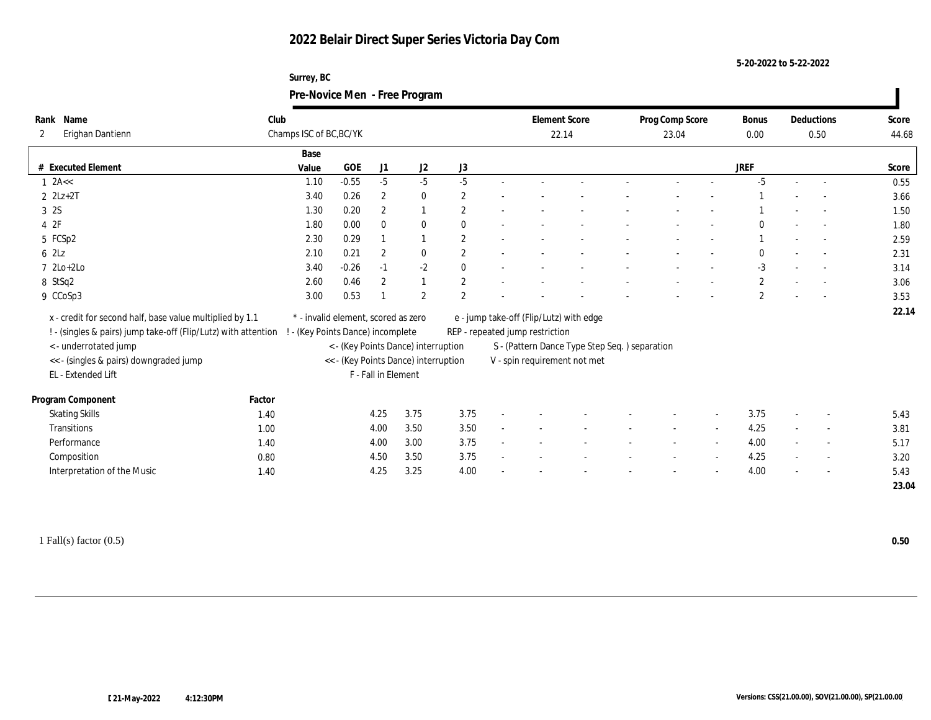#### **Surrey, BC Pre-Novice Men - Free Program**

|              |                                                                |                         |                                     |                     | $\overline{\phantom{0}}$             |                |                                         |                                               |                 |              |                          |                          |       |
|--------------|----------------------------------------------------------------|-------------------------|-------------------------------------|---------------------|--------------------------------------|----------------|-----------------------------------------|-----------------------------------------------|-----------------|--------------|--------------------------|--------------------------|-------|
| Rank         | Name                                                           | Club                    |                                     |                     |                                      |                | <b>Element Score</b>                    |                                               | Prog Comp Score | Bonus        |                          | Deductions               | Score |
| $\mathbf{2}$ | Erighan Dantienn                                               | Champs ISC of BC, BC/YK |                                     |                     |                                      |                | 22.14                                   |                                               | 23.04           | 0.00         |                          | 0.50                     | 44.68 |
|              |                                                                | Base                    |                                     |                     |                                      |                |                                         |                                               |                 |              |                          |                          |       |
|              | # Executed Element                                             | Value                   | $_{\rm GOE}$                        | J1                  | $\mathrm{J}2$                        | J3             |                                         |                                               |                 | <b>JREF</b>  |                          |                          | Score |
|              | $1$ 2A <<                                                      | 1.10                    | $-0.55$                             | $-5$                | $-5$                                 | $-5$           |                                         |                                               |                 | $-5$         | $\sim$                   |                          | 0.55  |
|              | $2$ $2Lz+2T$                                                   | 3.40                    | 0.26                                | $\boldsymbol{2}$    | $\bf{0}$                             | $\overline{2}$ |                                         |                                               |                 |              |                          |                          | 3.66  |
|              | 3 2S                                                           | 1.30                    | 0.20                                | $\boldsymbol{2}$    | $\mathbf{1}$                         | $\overline{2}$ |                                         |                                               |                 |              |                          |                          | 1.50  |
|              | 42F                                                            | 1.80                    | 0.00                                | $\bf{0}$            | $\bf{0}$                             | $\mathbf{0}$   |                                         |                                               |                 |              |                          |                          | 1.80  |
|              | 5 FCSp2                                                        | 2.30                    | 0.29                                |                     | 1                                    | $\mathbf{2}$   |                                         |                                               |                 |              |                          |                          | 2.59  |
|              | 6 2Lz                                                          | 2.10                    | 0.21                                | $\boldsymbol{2}$    | $\bf{0}$                             | $\overline{2}$ |                                         |                                               |                 | $\bf{0}$     |                          |                          | 2.31  |
|              | $72Lo+2Lo$                                                     | 3.40                    | $-0.26$                             | $-1$                | $-2$                                 | $\mathbf{0}$   |                                         |                                               |                 | $-3$         |                          |                          | 3.14  |
|              | 8 StSq2                                                        | 2.60                    | 0.46                                | 2                   | $\mathbf{1}$                         | $\overline{2}$ |                                         |                                               |                 | $\mathbf{2}$ |                          |                          | 3.06  |
|              | 9 CCoSp3                                                       | 3.00                    | 0.53                                |                     | $\overline{2}$                       | $\overline{2}$ |                                         |                                               |                 | $\mathbf{2}$ |                          |                          | 3.53  |
|              | x - credit for second half, base value multiplied by 1.1       |                         | * - invalid element, scored as zero |                     |                                      |                | e - jump take-off (Flip/Lutz) with edge |                                               |                 |              |                          |                          | 22.14 |
|              | ! - (singles & pairs) jump take-off (Flip/Lutz) with attention |                         | - (Key Points Dance) incomplete     |                     |                                      |                | REP - repeated jump restriction         |                                               |                 |              |                          |                          |       |
|              | <- underrotated jump                                           |                         |                                     |                     | < - (Key Points Dance) interruption  |                |                                         | S - (Pattern Dance Type Step Seq.) separation |                 |              |                          |                          |       |
|              | << - (singles & pairs) downgraded jump                         |                         |                                     |                     | << - (Key Points Dance) interruption |                |                                         | V - spin requirement not met                  |                 |              |                          |                          |       |
|              | EL - Extended Lift                                             |                         |                                     | F - Fall in Element |                                      |                |                                         |                                               |                 |              |                          |                          |       |
|              |                                                                |                         |                                     |                     |                                      |                |                                         |                                               |                 |              |                          |                          |       |
|              | Program Component                                              | Factor                  |                                     |                     |                                      |                |                                         |                                               |                 |              |                          |                          |       |
|              | <b>Skating Skills</b>                                          | 1.40                    |                                     | 4.25                | 3.75                                 | 3.75           |                                         |                                               |                 | 3.75         |                          |                          | 5.43  |
|              | Transitions                                                    | 1.00                    |                                     | 4.00                | 3.50                                 | 3.50           |                                         |                                               |                 | 4.25         | $\sim$                   | $\overline{a}$           | 3.81  |
|              | Performance                                                    | 1.40                    |                                     | 4.00                | 3.00                                 | 3.75           |                                         |                                               |                 | 4.00         | $\overline{\phantom{a}}$ | $\overline{\phantom{a}}$ | 5.17  |
|              | Composition                                                    | 0.80                    |                                     | 4.50                | 3.50                                 | 3.75           |                                         |                                               |                 | 4.25         | $\sim$                   | $\sim$                   | 3.20  |
|              | Interpretation of the Music                                    | 1.40                    |                                     | 4.25                | 3.25                                 | 4.00           |                                         |                                               |                 | 4.00         |                          |                          | 5.43  |
|              |                                                                |                         |                                     |                     |                                      |                |                                         |                                               |                 |              |                          |                          | 23.04 |

**5-20-2022 to 5-22-2022**

 $\blacksquare$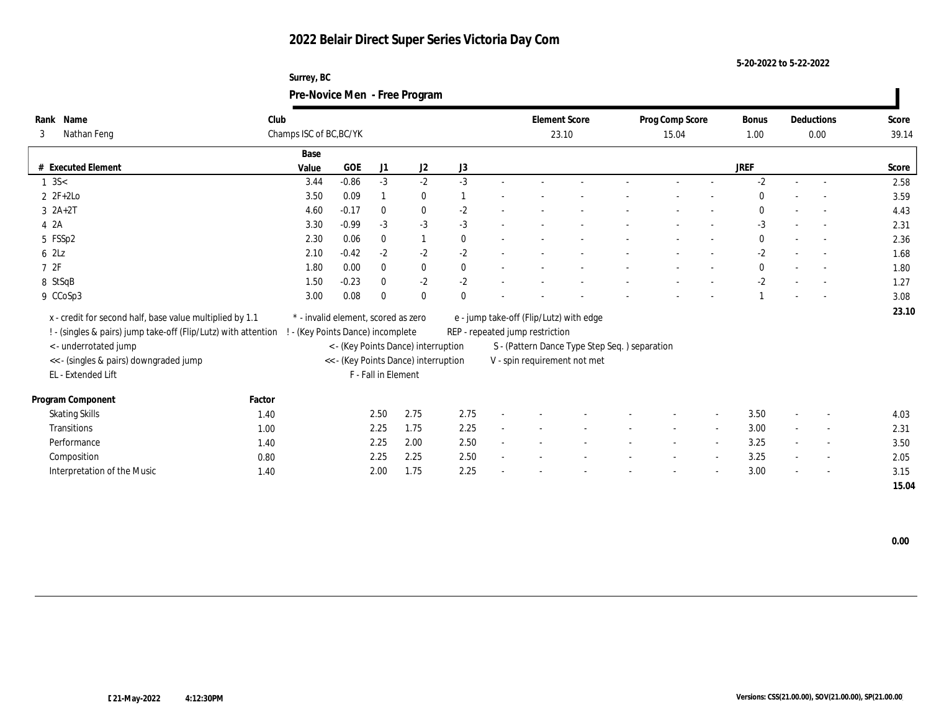#### **Surrey, BC Pre-Novice Men - Free Program**

|                                                                |        |                                   |                                     |                     | $\check{ }$                          |              |                                         |                                               |                 |                          |              |                          |       |
|----------------------------------------------------------------|--------|-----------------------------------|-------------------------------------|---------------------|--------------------------------------|--------------|-----------------------------------------|-----------------------------------------------|-----------------|--------------------------|--------------|--------------------------|-------|
| Name<br>Rank                                                   | Club   |                                   |                                     |                     |                                      |              | <b>Element Score</b>                    |                                               | Prog Comp Score |                          | Bonus        | Deductions               | Score |
| Nathan Feng<br>3                                               |        | Champs ISC of BC, BC/YK           |                                     |                     |                                      |              | 23.10                                   |                                               | 15.04           |                          | 1.00         | $0.00\,$                 | 39.14 |
|                                                                |        | Base                              |                                     |                     |                                      |              |                                         |                                               |                 |                          |              |                          |       |
| # Executed Element                                             |        | Value                             | <b>GOE</b>                          | J <sub>1</sub>      | J <sub>2</sub>                       | J3           |                                         |                                               |                 |                          | <b>JREF</b>  |                          | Score |
| $1 \, 3S$                                                      |        | 3.44                              | $-0.86$                             | $-3$                | $-2$                                 | $-3$         |                                         |                                               |                 |                          | $-2$         | $\sim$                   | 2.58  |
| $2 \t2F+2Lo$                                                   |        | 3.50                              | 0.09                                |                     | $\bf{0}$                             |              |                                         |                                               |                 |                          | $\Omega$     |                          | 3.59  |
| $3 \text{ } 2\text{A}+2\text{T}$                               |        | 4.60                              | $-0.17$                             | $\mathbf{0}$        | $\bf{0}$                             | $-2$         |                                         |                                               |                 |                          | $\mathbf{0}$ |                          | 4.43  |
| 4 2A                                                           |        | 3.30                              | $-0.99$                             | $-3$                | $-3$                                 | $-3$         |                                         |                                               |                 |                          | $-3$         |                          | 2.31  |
| 5 FSSp2                                                        |        | 2.30                              | 0.06                                | $\mathbf{0}$        | 1                                    | $\mathbf{0}$ |                                         |                                               |                 |                          | $\mathbf{0}$ | $\overline{\phantom{a}}$ | 2.36  |
| 6 2Lz                                                          |        | 2.10                              | $-0.42$                             | $-2$                | $-2$                                 | $-2$         |                                         |                                               |                 |                          | $-2$         |                          | 1.68  |
| 72F                                                            |        | 1.80                              | 0.00                                | $\bf{0}$            | $\bf{0}$                             | $\mathbf{0}$ |                                         |                                               |                 |                          | $\mathbf{0}$ | $\sim$                   | 1.80  |
| 8 StSqB                                                        |        | 1.50                              | $-0.23$                             | $\mathbf{0}$        | $-2$                                 | $-2$         |                                         |                                               |                 |                          | $-2$         |                          | 1.27  |
| 9 CCoSp3                                                       |        | 3.00                              | 0.08                                | $\bf{0}$            | $\bf{0}$                             | $\mathbf{0}$ |                                         |                                               |                 |                          |              |                          | 3.08  |
| x - credit for second half, base value multiplied by 1.1       |        |                                   | * - invalid element, scored as zero |                     |                                      |              | e - jump take-off (Flip/Lutz) with edge |                                               |                 |                          |              |                          | 23.10 |
| ! - (singles & pairs) jump take-off (Flip/Lutz) with attention |        | ! - (Key Points Dance) incomplete |                                     |                     |                                      |              | REP - repeated jump restriction         |                                               |                 |                          |              |                          |       |
| < - underrotated jump                                          |        |                                   |                                     |                     | < - (Key Points Dance) interruption  |              |                                         | S - (Pattern Dance Type Step Seq.) separation |                 |                          |              |                          |       |
| << - (singles & pairs) downgraded jump                         |        |                                   |                                     |                     | << - (Key Points Dance) interruption |              | V - spin requirement not met            |                                               |                 |                          |              |                          |       |
| EL - Extended Lift                                             |        |                                   |                                     | F - Fall in Element |                                      |              |                                         |                                               |                 |                          |              |                          |       |
|                                                                |        |                                   |                                     |                     |                                      |              |                                         |                                               |                 |                          |              |                          |       |
| Program Component                                              | Factor |                                   |                                     |                     |                                      |              |                                         |                                               |                 |                          |              |                          |       |
| <b>Skating Skills</b>                                          | 1.40   |                                   |                                     | 2.50                | 2.75                                 | 2.75         |                                         |                                               |                 | $\overline{\phantom{a}}$ | 3.50         | $\overline{\phantom{a}}$ | 4.03  |
| Transitions                                                    | 1.00   |                                   |                                     | 2.25                | 1.75                                 | 2.25         |                                         |                                               |                 |                          | 3.00         | $\overline{\phantom{a}}$ | 2.31  |
| Performance                                                    | 1.40   |                                   |                                     | 2.25                | 2.00                                 | 2.50         |                                         |                                               |                 |                          | 3.25         | $\overline{\phantom{a}}$ | 3.50  |
| Composition                                                    | 0.80   |                                   |                                     | 2.25                | 2.25                                 | 2.50         |                                         |                                               |                 |                          | 3.25         | $\overline{\phantom{a}}$ | 2.05  |
| Interpretation of the Music                                    | 1.40   |                                   |                                     | 2.00                | 1.75                                 | 2.25         |                                         |                                               |                 |                          | 3.00         | $\overline{\phantom{a}}$ | 3.15  |
|                                                                |        |                                   |                                     |                     |                                      |              |                                         |                                               |                 |                          |              |                          | 15.04 |

 **0.00**

 $\mathbf{I}$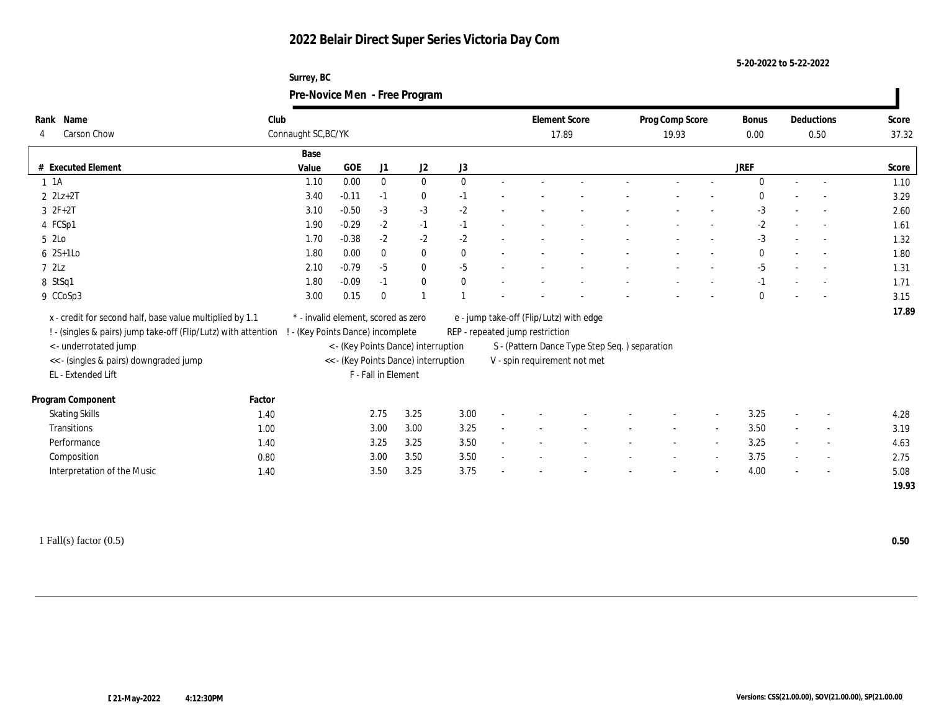**Surrey, BC Pre-Novice Men - Free Program**

| Rank Name<br>Carson Chow                                       | Club   | Connaught SC, BC/YK                 |         |                     |                                      |              |                                 | <b>Element Score</b>                          | Prog Comp Score | <b>Bonus</b> | Deductions               | Score |
|----------------------------------------------------------------|--------|-------------------------------------|---------|---------------------|--------------------------------------|--------------|---------------------------------|-----------------------------------------------|-----------------|--------------|--------------------------|-------|
| 4                                                              |        |                                     |         |                     |                                      |              |                                 | 17.89                                         | 19.93           | 0.00         | 0.50                     | 37.32 |
|                                                                |        | Base                                |         |                     |                                      |              |                                 |                                               |                 |              |                          |       |
| # Executed Element                                             |        | Value                               | GOE     | J1                  | J2                                   | J3           |                                 |                                               |                 | JREF         |                          | Score |
| $1 \t1A$                                                       |        | 1.10                                | 0.00    | $\mathbf{0}$        | $\bf{0}$                             | $\mathbf{0}$ |                                 |                                               |                 | $\theta$     |                          | 1.10  |
| $2 \text{ } 2Lz + 2T$                                          |        | 3.40                                | $-0.11$ | $-1$                | $\bf{0}$                             | $-1$         |                                 |                                               |                 | $\mathbf{0}$ |                          | 3.29  |
| $3 \t2F+2T$                                                    |        | 3.10                                | $-0.50$ | $-3$                | $-3$                                 | $-2$         |                                 |                                               |                 | $-3$         |                          | 2.60  |
| 4 FCSp1                                                        |        | 1.90                                | $-0.29$ | $-2$                | $-1$                                 | $-1$         |                                 |                                               |                 | $-2$         | $\sim$                   | 1.61  |
| 5 2Lo                                                          |        | 1.70                                | $-0.38$ | $-2$                | $-2$                                 | $-2$         |                                 |                                               |                 | $-3$         |                          | 1.32  |
| $6 \quad 2S+1LO$                                               |        | 1.80                                | 0.00    | $\bf{0}$            | $\bf{0}$                             | $\mathbf{0}$ |                                 |                                               |                 | $\bf{0}$     |                          | 1.80  |
| 72Lz                                                           |        | 2.10                                | $-0.79$ | $-5$                | $\bf{0}$                             | $-5$         |                                 |                                               |                 | $-5$         |                          | 1.31  |
| 8 StSq1                                                        |        | 1.80                                | $-0.09$ | $-1$                | $\bf{0}$                             | $\mathbf{0}$ |                                 |                                               |                 | $-1$         |                          | 1.71  |
| 9 CCoSp3                                                       |        | 3.00                                | 0.15    | $\theta$            | 1                                    |              |                                 |                                               |                 | $\Omega$     | $\sim$                   | 3.15  |
|                                                                |        | * - invalid element, scored as zero |         |                     |                                      |              |                                 |                                               |                 |              |                          | 17.89 |
| x - credit for second half, base value multiplied by 1.1       |        |                                     |         |                     |                                      |              |                                 | e - jump take-off (Flip/Lutz) with edge       |                 |              |                          |       |
| ! - (singles & pairs) jump take-off (Flip/Lutz) with attention |        | ! - (Key Points Dance) incomplete   |         |                     |                                      |              | REP - repeated jump restriction |                                               |                 |              |                          |       |
| < - underrotated jump                                          |        |                                     |         |                     | < - (Key Points Dance) interruption  |              |                                 | S - (Pattern Dance Type Step Seq.) separation |                 |              |                          |       |
| <<- (singles & pairs) downgraded jump                          |        |                                     |         |                     | << - (Key Points Dance) interruption |              |                                 | V - spin requirement not met                  |                 |              |                          |       |
| EL - Extended Lift                                             |        |                                     |         | F - Fall in Element |                                      |              |                                 |                                               |                 |              |                          |       |
| Program Component                                              | Factor |                                     |         |                     |                                      |              |                                 |                                               |                 |              |                          |       |
| <b>Skating Skills</b>                                          | 1.40   |                                     |         | 2.75                | 3.25                                 | 3.00         |                                 |                                               |                 | 3.25         | $\overline{\phantom{a}}$ | 4.28  |
| Transitions                                                    | 1.00   |                                     |         | 3.00                | 3.00                                 | 3.25         |                                 |                                               |                 | 3.50         | $\sim$                   | 3.19  |
| Performance                                                    | 1.40   |                                     |         | 3.25                | 3.25                                 | 3.50         |                                 |                                               |                 | 3.25         | $\sim$                   | 4.63  |
| Composition                                                    | 0.80   |                                     |         | 3.00                | 3.50                                 | 3.50         |                                 |                                               |                 | 3.75         | $\overline{\phantom{a}}$ | 2.75  |
| Interpretation of the Music                                    | 1.40   |                                     |         | 3.50                | 3.25                                 | 3.75         |                                 |                                               |                 | 4.00         |                          | 5.08  |
|                                                                |        |                                     |         |                     |                                      |              |                                 |                                               |                 |              |                          | 19.93 |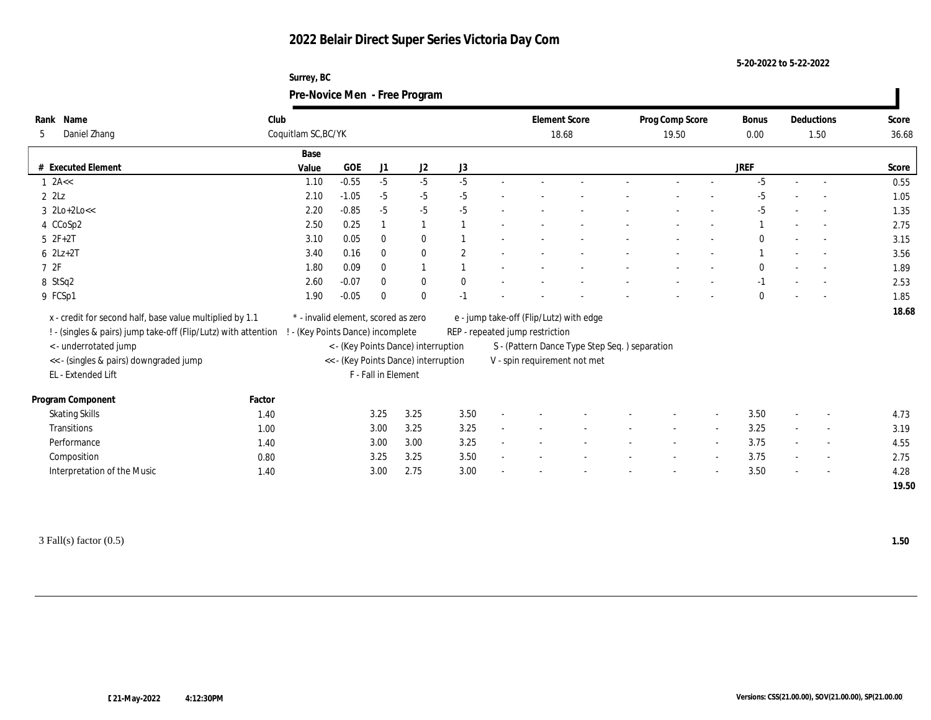#### **Surrey, BC Pre-Novice Men - Free Program**

|                                                                |        |                                     |         |                     | $\tilde{}$                           |                |                                 |                                               |                 |        |              |                          |                          |       |
|----------------------------------------------------------------|--------|-------------------------------------|---------|---------------------|--------------------------------------|----------------|---------------------------------|-----------------------------------------------|-----------------|--------|--------------|--------------------------|--------------------------|-------|
| Rank Name                                                      | Club   |                                     |         |                     |                                      |                |                                 | <b>Element Score</b>                          | Prog Comp Score |        | <b>Bonus</b> |                          | Deductions               | Score |
| Daniel Zhang<br>5                                              |        | Coquitlam SC, BC/YK                 |         |                     |                                      |                |                                 | 18.68                                         | 19.50           |        | 0.00         |                          | 1.50                     | 36.68 |
|                                                                |        | Base                                |         |                     |                                      |                |                                 |                                               |                 |        |              |                          |                          |       |
| # Executed Element                                             |        | Value                               | GOE     | J <sub>1</sub>      | J <sub>2</sub>                       | J3             |                                 |                                               |                 |        | <b>JREF</b>  |                          |                          | Score |
| $1$ 2A <<                                                      |        | 1.10                                | $-0.55$ | $-5$                | $-5$                                 | $-5$           |                                 |                                               |                 |        | $-5$         |                          |                          | 0.55  |
| $2$ $2$ Lz                                                     |        | 2.10                                | $-1.05$ | $-5$                | $-5$                                 | $-5$           |                                 |                                               |                 |        | -5           |                          |                          | 1.05  |
| $3$ $2Lo+2Lo<<$                                                |        | 2.20                                | $-0.85$ | $-5$                | $-5$                                 | $-5$           |                                 |                                               |                 |        | $-5$         |                          |                          | 1.35  |
| 4 CCoSp2                                                       |        | 2.50                                | 0.25    |                     | $\mathbf{1}$                         |                |                                 |                                               |                 |        |              |                          |                          | 2.75  |
| $5 2F+2T$                                                      |        | 3.10                                | 0.05    | $\bf{0}$            | $\bf{0}$                             |                |                                 |                                               |                 |        | $\bf{0}$     |                          |                          | 3.15  |
| $6$ $2Lz+2T$                                                   |        | 3.40                                | 0.16    | $\bf{0}$            | $\bf{0}$                             | $\overline{2}$ |                                 |                                               |                 |        |              |                          |                          | 3.56  |
| 72F                                                            |        | 1.80                                | 0.09    | $\bf{0}$            | 1                                    |                |                                 |                                               |                 |        | $\bf{0}$     |                          |                          | 1.89  |
| 8 StSq2                                                        |        | 2.60                                | $-0.07$ | $\mathbf{0}$        | $\bf{0}$                             | $\mathbf{0}$   |                                 |                                               |                 |        | $-1$         |                          |                          | 2.53  |
| 9 FCSp1                                                        |        | 1.90                                | $-0.05$ | $\theta$            | $\bf{0}$                             | $-1$           |                                 |                                               |                 |        | $\theta$     |                          |                          | 1.85  |
| x - credit for second half, base value multiplied by 1.1       |        | * - invalid element, scored as zero |         |                     |                                      |                |                                 | e - jump take-off (Flip/Lutz) with edge       |                 |        |              |                          |                          | 18.68 |
| ! - (singles & pairs) jump take-off (Flip/Lutz) with attention |        | ! - (Key Points Dance) incomplete   |         |                     |                                      |                | REP - repeated jump restriction |                                               |                 |        |              |                          |                          |       |
| < - underrotated jump                                          |        |                                     |         |                     | < - (Key Points Dance) interruption  |                |                                 | S - (Pattern Dance Type Step Seq.) separation |                 |        |              |                          |                          |       |
| << - (singles & pairs) downgraded jump                         |        |                                     |         |                     | << - (Key Points Dance) interruption |                |                                 | V - spin requirement not met                  |                 |        |              |                          |                          |       |
| EL - Extended Lift                                             |        |                                     |         | F - Fall in Element |                                      |                |                                 |                                               |                 |        |              |                          |                          |       |
|                                                                |        |                                     |         |                     |                                      |                |                                 |                                               |                 |        |              |                          |                          |       |
| Program Component                                              | Factor |                                     |         |                     |                                      |                |                                 |                                               |                 |        |              |                          |                          |       |
| <b>Skating Skills</b>                                          | 1.40   |                                     |         | 3.25                | 3.25                                 | 3.50           |                                 |                                               |                 |        | 3.50         |                          |                          | 4.73  |
| Transitions                                                    | 1.00   |                                     |         | 3.00                | 3.25                                 | 3.25           |                                 |                                               |                 |        | 3.25         | $\sim$                   | $\sim$                   | 3.19  |
| Performance                                                    | 1.40   |                                     |         | 3.00                | 3.00                                 | 3.25           |                                 |                                               |                 |        | 3.75         | $\overline{\phantom{a}}$ | $\overline{\phantom{a}}$ | 4.55  |
| Composition                                                    | 0.80   |                                     |         | 3.25                | 3.25                                 | 3.50           |                                 |                                               |                 | $\sim$ | 3.75         |                          | $\sim$                   | 2.75  |
| Interpretation of the Music                                    | 1.40   |                                     |         | 3.00                | 2.75                                 | 3.00           |                                 |                                               |                 |        | 3.50         |                          | $\overline{\phantom{a}}$ | 4.28  |
|                                                                |        |                                     |         |                     |                                      |                |                                 |                                               |                 |        |              |                          |                          | 19.50 |

 $\mathbf{I}$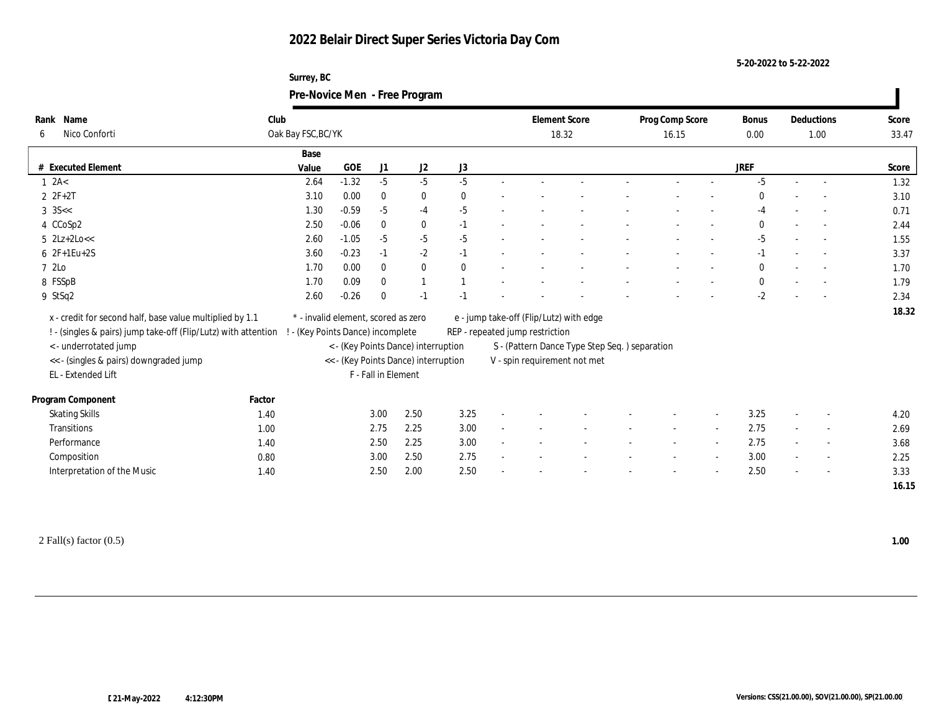**Surrey, BC Pre-Novice Men - Free Program**

| Rank Name<br>Nico Conforti<br>6                                | Club   | Oak Bay FSC, BC/YK                  |            |                     |                                      |              |                                               | <b>Element Score</b><br>18.32 | Prog Comp Score<br>16.15 | <b>Bonus</b><br>0.00 |                          | Deductions<br>1.00       | Score<br>33.47 |
|----------------------------------------------------------------|--------|-------------------------------------|------------|---------------------|--------------------------------------|--------------|-----------------------------------------------|-------------------------------|--------------------------|----------------------|--------------------------|--------------------------|----------------|
|                                                                |        | Base                                |            |                     |                                      |              |                                               |                               |                          |                      |                          |                          |                |
| # Executed Element                                             |        | Value                               | <b>GOE</b> | J1                  | J <sub>2</sub>                       | J3           |                                               |                               |                          | JREF                 |                          |                          | Score          |
| 1 2A<                                                          |        | 2.64                                | $-1.32$    | $-5$                | $-5$                                 | $-5$         |                                               |                               |                          | $-5$                 |                          |                          | 1.32           |
| $2 ZF+2T$                                                      |        | 3.10                                | 0.00       | $\bf{0}$            | $\bf{0}$                             | $\theta$     |                                               |                               |                          |                      |                          |                          | 3.10           |
| $3$ 3S $<<$                                                    |        | 1.30                                | $-0.59$    | $-5$                | $-4$                                 | $-5$         |                                               |                               |                          | $-4$                 |                          |                          | 0.71           |
| 4 CCoSp2                                                       |        | 2.50                                | $-0.06$    | $\theta$            | $\bf{0}$                             | $-1$         |                                               |                               |                          | $\theta$             |                          |                          | 2.44           |
| $5$ $2Lz+2Lo<<$                                                |        | 2.60                                | $-1.05$    | $-5$                | $-5$                                 | $-5$         |                                               |                               |                          | $-5$                 |                          |                          | 1.55           |
| $62F+1Eu+2S$                                                   |        | 3.60                                | $-0.23$    | $-1$                | $-2$                                 | $-1$         |                                               |                               |                          | $-1$                 |                          |                          | 3.37           |
| 7 2Lo                                                          |        | 1.70                                | 0.00       | $\mathbf{0}$        | $\bf{0}$                             | $\mathbf{0}$ |                                               |                               |                          | $\mathbf{0}$         |                          |                          | 1.70           |
| 8 FSSpB                                                        |        | 1.70                                | 0.09       | $\theta$            |                                      |              |                                               |                               |                          | $\mathbf{0}$         |                          | $\sim$                   | 1.79           |
| 9 StSq2                                                        |        | 2.60                                | $-0.26$    | $\Omega$            | $-1$                                 | $-1$         |                                               |                               |                          | $-2$                 |                          |                          | 2.34           |
| x - credit for second half, base value multiplied by 1.1       |        | * - invalid element, scored as zero |            |                     |                                      |              | e - jump take-off (Flip/Lutz) with edge       |                               |                          |                      |                          |                          | 18.32          |
| ! - (singles & pairs) jump take-off (Flip/Lutz) with attention |        | - (Key Points Dance) incomplete     |            |                     |                                      |              | REP - repeated jump restriction               |                               |                          |                      |                          |                          |                |
| < - underrotated jump                                          |        |                                     |            |                     | < - (Key Points Dance) interruption  |              | S - (Pattern Dance Type Step Seq.) separation |                               |                          |                      |                          |                          |                |
| << - (singles & pairs) downgraded jump                         |        |                                     |            |                     | << - (Key Points Dance) interruption |              | V - spin requirement not met                  |                               |                          |                      |                          |                          |                |
| EL - Extended Lift                                             |        |                                     |            | F - Fall in Element |                                      |              |                                               |                               |                          |                      |                          |                          |                |
| Program Component                                              | Factor |                                     |            |                     |                                      |              |                                               |                               |                          |                      |                          |                          |                |
| <b>Skating Skills</b>                                          | 1.40   |                                     |            | 3.00                | 2.50                                 | 3.25         |                                               |                               |                          | 3.25                 |                          |                          | 4.20           |
| Transitions                                                    | 1.00   |                                     |            | 2.75                | 2.25                                 | 3.00         |                                               |                               |                          | 2.75                 | $\sim$                   |                          | 2.69           |
| Performance                                                    | 1.40   |                                     |            | 2.50                | 2.25                                 | 3.00         |                                               |                               |                          | 2.75                 | $\overline{\phantom{a}}$ | $\overline{\phantom{a}}$ | 3.68           |
| Composition                                                    | 0.80   |                                     |            | 3.00                | 2.50                                 | 2.75         |                                               |                               |                          | 3.00                 |                          | $\overline{\phantom{a}}$ | 2.25           |
| Interpretation of the Music                                    | 1.40   |                                     |            | 2.50                | 2.00                                 | 2.50         |                                               |                               |                          | 2.50                 |                          |                          | 3.33           |
|                                                                |        |                                     |            |                     |                                      |              |                                               |                               |                          |                      |                          |                          | 16.15          |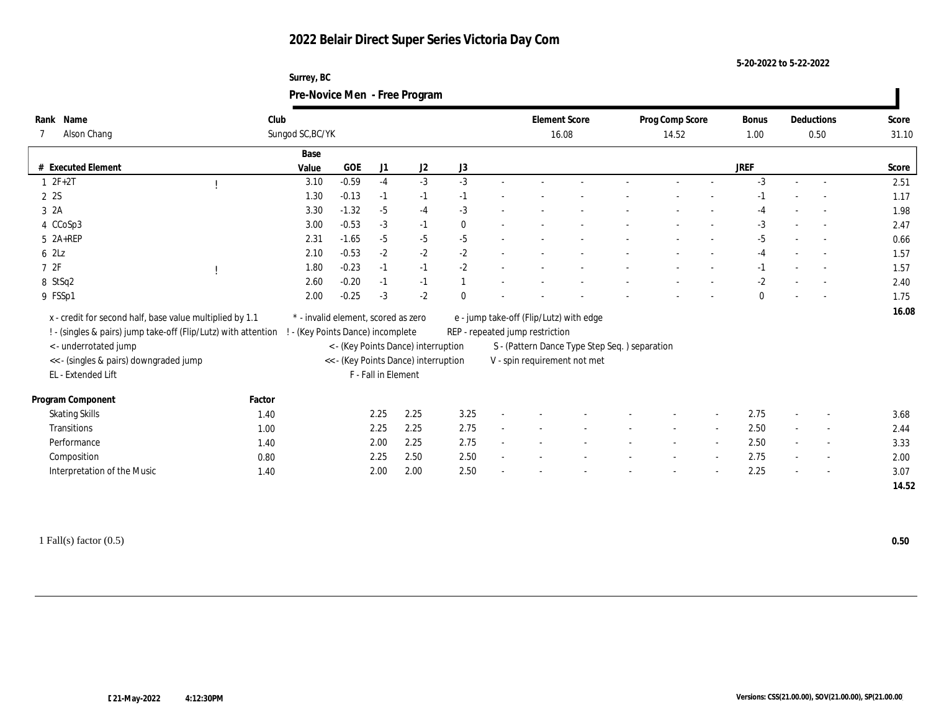#### **Surrey, BC Pre-Novice Men - Free Program**

|      |                                                                |        |                  |                                     |                     | $\overline{\phantom{a}}$             |              |                                 |                                               |                 |                          |             |        |                          |       |
|------|----------------------------------------------------------------|--------|------------------|-------------------------------------|---------------------|--------------------------------------|--------------|---------------------------------|-----------------------------------------------|-----------------|--------------------------|-------------|--------|--------------------------|-------|
| Rank | Name                                                           | Club   |                  |                                     |                     |                                      |              |                                 | <b>Element Score</b>                          | Prog Comp Score |                          | Bonus       |        | Deductions               | Score |
| 7    | Alson Chang                                                    |        | Sungod SC, BC/YK |                                     |                     |                                      |              |                                 | 16.08                                         | 14.52           |                          | 1.00        |        | 0.50                     | 31.10 |
|      |                                                                |        | Base             |                                     |                     |                                      |              |                                 |                                               |                 |                          |             |        |                          |       |
|      | # Executed Element                                             |        | Value            | $GOE$                               | J <sub>1</sub>      | J2                                   | J3           |                                 |                                               |                 |                          | <b>JREF</b> |        |                          | Score |
|      | $1 2F + 2T$                                                    |        | 3.10             | $-0.59$                             | $-4$                | $-3$                                 | $-3$         |                                 |                                               |                 |                          | $-3$        | $\sim$ | $\overline{\phantom{a}}$ | 2.51  |
|      | 2 2S                                                           |        | 1.30             | $-0.13$                             | $-1$                | $-1$                                 | $-1$         |                                 |                                               |                 |                          | $-1$        |        |                          | 1.17  |
|      | 3 2A                                                           |        | 3.30             | $-1.32$                             | $-5$                | $-4$                                 | $-3$         |                                 |                                               |                 |                          | $-4$        |        |                          | 1.98  |
|      | 4 CCoSp3                                                       |        | 3.00             | $-0.53$                             | $-3$                | $-1$                                 | $\mathbf{0}$ |                                 |                                               |                 |                          | $-3$        |        | $\overline{a}$           | 2.47  |
|      | 5 2A+REP                                                       |        | 2.31             | $-1.65$                             | $-5$                | $-5$                                 | $-5$         |                                 |                                               |                 |                          | $-5$        |        | $\sim$                   | 0.66  |
|      | 62Lz                                                           |        | 2.10             | $-0.53$                             | $-2$                | $-2$                                 | $-2$         |                                 |                                               |                 |                          | $-4$        |        | $\sim$                   | 1.57  |
|      | 72F                                                            |        | 1.80             | $-0.23$                             | $-1$                | $-1$                                 | $-2$         |                                 |                                               |                 |                          | $-1$        |        | $\overline{\phantom{a}}$ | 1.57  |
|      | 8 StSq2                                                        |        | 2.60             | $-0.20$                             | $-1$                | $-1$                                 |              |                                 |                                               |                 |                          | $-2$        |        |                          | 2.40  |
|      | 9 FSSp1                                                        |        | 2.00             | $-0.25$                             | $-3$                | $-2$                                 |              |                                 |                                               |                 |                          | $\theta$    |        |                          | 1.75  |
|      |                                                                |        |                  | * - invalid element, scored as zero |                     |                                      |              |                                 |                                               |                 |                          |             |        |                          | 16.08 |
|      | x - credit for second half, base value multiplied by 1.1       |        |                  |                                     |                     |                                      |              |                                 | e - jump take-off (Flip/Lutz) with edge       |                 |                          |             |        |                          |       |
|      | ! - (singles & pairs) jump take-off (Flip/Lutz) with attention |        |                  | - (Key Points Dance) incomplete     |                     |                                      |              | REP - repeated jump restriction |                                               |                 |                          |             |        |                          |       |
|      | < - underrotated jump                                          |        |                  |                                     |                     | < - (Key Points Dance) interruption  |              |                                 | S - (Pattern Dance Type Step Seq.) separation |                 |                          |             |        |                          |       |
|      | << - (singles & pairs) downgraded jump                         |        |                  |                                     |                     | << - (Key Points Dance) interruption |              |                                 | V - spin requirement not met                  |                 |                          |             |        |                          |       |
|      | EL - Extended Lift                                             |        |                  |                                     | F - Fall in Element |                                      |              |                                 |                                               |                 |                          |             |        |                          |       |
|      | Program Component                                              | Factor |                  |                                     |                     |                                      |              |                                 |                                               |                 |                          |             |        |                          |       |
|      | <b>Skating Skills</b>                                          | 1.40   |                  |                                     | 2.25                | 2.25                                 | 3.25         |                                 |                                               |                 | $\overline{\phantom{a}}$ | 2.75        |        | $\overline{\phantom{a}}$ | 3.68  |
|      | Transitions                                                    | 1.00   |                  |                                     | 2.25                | 2.25                                 | 2.75         |                                 |                                               |                 |                          | 2.50        |        | $\overline{\phantom{a}}$ | 2.44  |
|      | Performance                                                    | 1.40   |                  |                                     | 2.00                | 2.25                                 | 2.75         |                                 |                                               |                 |                          | 2.50        |        | $\overline{\phantom{a}}$ | 3.33  |
|      | Composition                                                    | 0.80   |                  |                                     | 2.25                | 2.50                                 | 2.50         |                                 |                                               |                 | $\overline{\phantom{a}}$ | 2.75        |        | $\sim$                   | 2.00  |
|      | Interpretation of the Music                                    | 1.40   |                  |                                     | 2.00                | 2.00                                 | 2.50         |                                 |                                               |                 |                          | 2.25        |        |                          | 3.07  |
|      |                                                                |        |                  |                                     |                     |                                      |              |                                 |                                               |                 |                          |             |        |                          | 14.52 |

 $\blacksquare$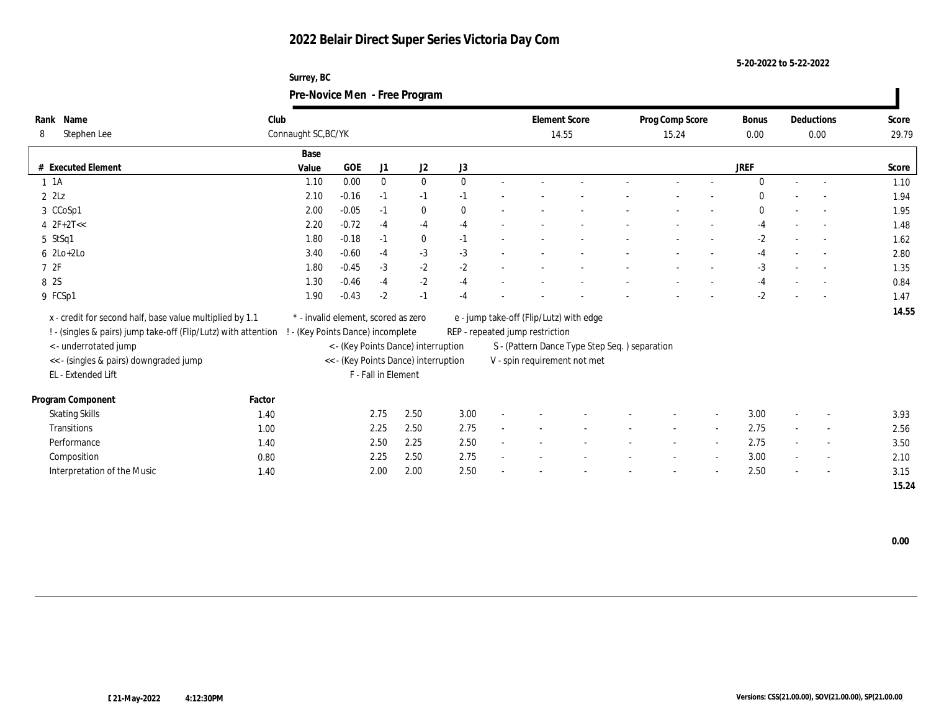**Surrey, BC Pre-Novice Men - Free Program**

| Rank Name<br>Stephen Lee<br>8                                  | Club   | Connaught SC, BC/YK                 |         |                     |                                      |              |                                 | <b>Element Score</b><br>14.55                 | Prog Comp Score<br>15.24 | <b>Bonus</b><br>0.00 |                          | Deductions<br>0.00       | Score<br>29.79 |
|----------------------------------------------------------------|--------|-------------------------------------|---------|---------------------|--------------------------------------|--------------|---------------------------------|-----------------------------------------------|--------------------------|----------------------|--------------------------|--------------------------|----------------|
|                                                                |        |                                     |         |                     |                                      |              |                                 |                                               |                          |                      |                          |                          |                |
|                                                                |        | Base                                |         |                     |                                      |              |                                 |                                               |                          |                      |                          |                          |                |
| # Executed Element                                             |        | Value                               | GOE     | J1                  | J2                                   | J3           |                                 |                                               |                          | JREF                 |                          |                          | Score          |
| $1 \t1A$                                                       |        | 1.10                                | 0.00    | $\mathbf{0}$        | $\bf{0}$                             | $\mathbf{0}$ |                                 |                                               |                          | $\theta$             |                          |                          | 1.10           |
| $2$ $2$ Lz                                                     |        | 2.10                                | $-0.16$ | $-1$                | $-1$                                 | $-1$         |                                 |                                               |                          | 0                    |                          |                          | 1.94           |
| 3 CCoSp1                                                       |        | 2.00                                | $-0.05$ | $-1$                | $\bf{0}$                             | $\mathbf{0}$ |                                 |                                               |                          | $\mathbf{0}$         |                          |                          | 1.95           |
| $4 \text{ } 2F + 2T <<$                                        |        | 2.20                                | $-0.72$ | $-4$                | $-4$                                 | $-4$         |                                 |                                               |                          | -4                   |                          | $\sim$                   | 1.48           |
| 5 StSq1                                                        |        | 1.80                                | $-0.18$ | $-1$                | $\bf{0}$                             | $-1$         |                                 |                                               |                          | $-2$                 |                          |                          | 1.62           |
| $62Lo+2Lo$                                                     |        | 3.40                                | $-0.60$ | $-4$                | $-3$                                 | $-3$         |                                 |                                               |                          | -4                   |                          |                          | 2.80           |
| 72F                                                            |        | 1.80                                | $-0.45$ | $-3$                | $-2$                                 | $-2$         |                                 |                                               |                          | $-3$                 |                          |                          | 1.35           |
| 8 2S                                                           |        | 1.30                                | $-0.46$ | $-4$                | $-2$                                 | $-4$         |                                 |                                               |                          | $-4$                 |                          |                          | 0.84           |
| 9 FCSp1                                                        |        | 1.90                                | $-0.43$ | $-2$                | $-1$                                 | $-4$         |                                 |                                               |                          | $-2$                 |                          | $\overline{\phantom{a}}$ | 1.47           |
|                                                                |        | * - invalid element, scored as zero |         |                     |                                      |              |                                 |                                               |                          |                      |                          |                          | 14.55          |
| x - credit for second half, base value multiplied by 1.1       |        |                                     |         |                     |                                      |              |                                 | e - jump take-off (Flip/Lutz) with edge       |                          |                      |                          |                          |                |
| ! - (singles & pairs) jump take-off (Flip/Lutz) with attention |        | ! - (Key Points Dance) incomplete   |         |                     |                                      |              | REP - repeated jump restriction |                                               |                          |                      |                          |                          |                |
| < - underrotated jump                                          |        |                                     |         |                     | < - (Key Points Dance) interruption  |              |                                 | S - (Pattern Dance Type Step Seq.) separation |                          |                      |                          |                          |                |
| <<- (singles & pairs) downgraded jump                          |        |                                     |         |                     | << - (Key Points Dance) interruption |              |                                 | V - spin requirement not met                  |                          |                      |                          |                          |                |
| EL - Extended Lift                                             |        |                                     |         | F - Fall in Element |                                      |              |                                 |                                               |                          |                      |                          |                          |                |
| Program Component                                              | Factor |                                     |         |                     |                                      |              |                                 |                                               |                          |                      |                          |                          |                |
| <b>Skating Skills</b>                                          | 1.40   |                                     |         | 2.75                | 2.50                                 | 3.00         |                                 |                                               |                          | 3.00                 |                          | $\overline{\phantom{a}}$ | 3.93           |
| Transitions                                                    | 1.00   |                                     |         | 2.25                | 2.50                                 | 2.75         |                                 |                                               |                          | 2.75                 |                          | $\sim$                   | 2.56           |
| Performance                                                    | 1.40   |                                     |         | 2.50                | 2.25                                 | 2.50         |                                 |                                               |                          | 2.75                 |                          | $\sim$                   | 3.50           |
| Composition                                                    | 0.80   |                                     |         | 2.25                | 2.50                                 | 2.75         |                                 |                                               |                          | 3.00                 | $\overline{\phantom{a}}$ | $\sim$                   | 2.10           |
| Interpretation of the Music                                    | 1.40   |                                     |         | 2.00                | 2.00                                 | 2.50         |                                 |                                               |                          | 2.50                 |                          |                          | 3.15           |
|                                                                |        |                                     |         |                     |                                      |              |                                 |                                               |                          |                      |                          |                          | 15.24          |